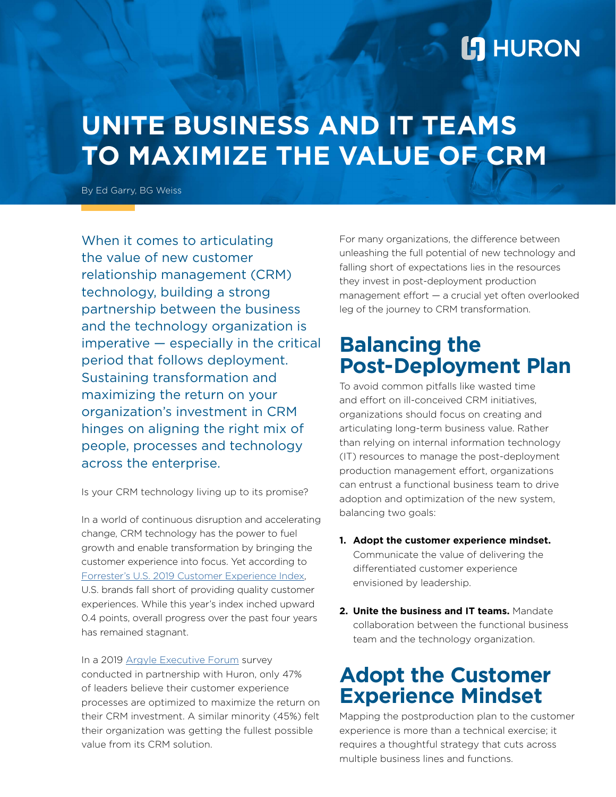## **L'I** HURON

# **UNITE BUSINESS AND IT TEAMS TO MAXIMIZE THE VALUE OF CRM**

By Ed Garry, BG Weiss

When it comes to articulating the value of new customer relationship management (CRM) technology, building a strong partnership between the business and the technology organization is imperative — especially in the critical period that follows deployment. Sustaining transformation and maximizing the return on your organization's investment in CRM hinges on aligning the right mix of people, processes and technology across the enterprise.

Is your CRM technology living up to its promise?

In a world of continuous disruption and accelerating change, CRM technology has the power to fuel growth and enable transformation by bringing the customer experience into focus. Yet according to [Forrester's U.S. 2019 Customer Experience Index](http://go.forrester.com/analytics/cx-index/), U.S. brands fall short of providing quality customer experiences. While this year's index inched upward 0.4 points, overall progress over the past four years has remained stagnant.

In a 2019 [Argyle Executive Forum](http://argyleforum.com/insight/vp-of-strategic-business-development-at-the-fedcap-group-and-managing-director-at-huron-consulting-group-discuss-building-a-360-degree-view-of-your-customer-by-leveraging-crm/) survey conducted in partnership with Huron, only 47% of leaders believe their customer experience processes are optimized to maximize the return on their CRM investment. A similar minority (45%) felt their organization was getting the fullest possible value from its CRM solution.

For many organizations, the difference between unleashing the full potential of new technology and falling short of expectations lies in the resources they invest in post-deployment production management effort — a crucial yet often overlooked leg of the journey to CRM transformation.

#### **Balancing the Post-Deployment Plan**

To avoid common pitfalls like wasted time and effort on ill-conceived CRM initiatives, organizations should focus on creating and articulating long-term business value. Rather than relying on internal information technology (IT) resources to manage the post-deployment production management effort, organizations can entrust a functional business team to drive adoption and optimization of the new system, balancing two goals:

- **1. Adopt the customer experience mindset.**  Communicate the value of delivering the differentiated customer experience envisioned by leadership.
- **2. Unite the business and IT teams.** Mandate collaboration between the functional business team and the technology organization.

#### **Adopt the Customer Experience Mindset**

Mapping the postproduction plan to the customer experience is more than a technical exercise; it requires a thoughtful strategy that cuts across multiple business lines and functions.